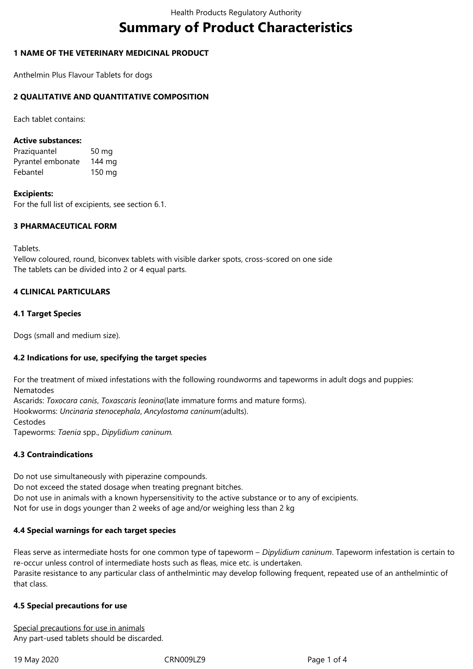# **Summary of Product Characteristics**

## **1 NAME OF THE VETERINARY MEDICINAL PRODUCT**

Anthelmin Plus Flavour Tablets for dogs

## **2 QUALITATIVE AND QUANTITATIVE COMPOSITION**

Each tablet contains:

#### **Active substances:**

Praziquantel 50 mg Pyrantel embonate 144 mg Febantel 150 mg

#### **Excipients:**

For the full list of excipients, see section 6.1.

#### **3 PHARMACEUTICAL FORM**

Tablets.

Yellow coloured, round, biconvex tablets with visible darker spots, cross-scored on one side The tablets can be divided into 2 or 4 equal parts.

## **4 CLINICAL PARTICULARS**

## **4.1 Target Species**

Dogs (small and medium size).

#### **4.2 Indications for use, specifying the target species**

For the treatment of mixed infestations with the following roundworms and tapeworms in adult dogs and puppies: Nematodes Ascarids: *Toxocara canis*, *Toxascaris leonina*(late immature forms and mature forms). Hookworms: *Uncinaria stenocephala*, *Ancylostoma caninum*(adults). Cestodes

Tapeworms: *Taenia* spp., *Dipylidium caninum.*

#### **4.3 Contraindications**

Do not use simultaneously with piperazine compounds. Do not exceed the stated dosage when treating pregnant bitches. Do not use in animals with a known hypersensitivity to the active substance or to any of excipients. Not for use in dogs younger than 2 weeks of age and/or weighing less than 2 kg

#### **4.4 Special warnings for each target species**

Fleas serve as intermediate hosts for one common type of tapeworm – *Dipylidium caninum*. Tapeworm infestation is certain to re-occur unless control of intermediate hosts such as fleas, mice etc. is undertaken. Parasite resistance to any particular class of anthelmintic may develop following frequent, repeated use of an anthelmintic of that class.

#### **4.5 Special precautions for use**

Special precautions for use in animals Any part-used tablets should be discarded.

19 May 2020 CRN009LZ9 Page 1 of 4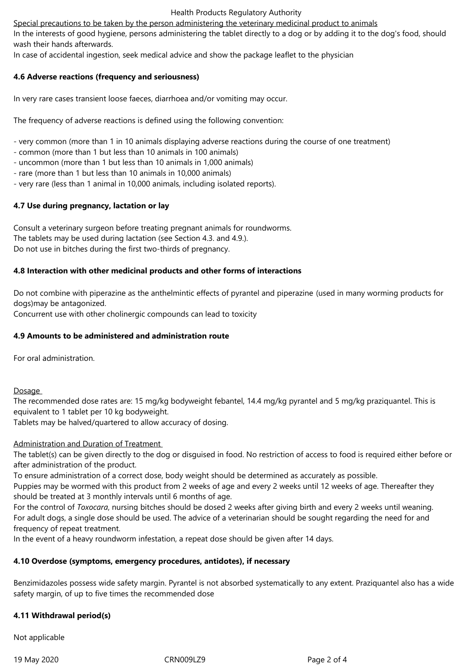Special precautions to be taken by the person administering the veterinary medicinal product to animals

In the interests of good hygiene, persons administering the tablet directly to a dog or by adding it to the dog's food, should wash their hands afterwards.

In case of accidental ingestion, seek medical advice and show the package leaflet to the physician

# **4.6 Adverse reactions (frequency and seriousness)**

In very rare cases transient loose faeces, diarrhoea and/or vomiting may occur.

The frequency of adverse reactions is defined using the following convention:

- very common (more than 1 in 10 animals displaying adverse reactions during the course of one treatment)
- common (more than 1 but less than 10 animals in 100 animals)
- uncommon (more than 1 but less than 10 animals in 1,000 animals)
- rare (more than 1 but less than 10 animals in 10,000 animals)
- very rare (less than 1 animal in 10,000 animals, including isolated reports).

# **4.7 Use during pregnancy, lactation or lay**

Consult a veterinary surgeon before treating pregnant animals for roundworms. The tablets may be used during lactation (see Section 4.3. and 4.9.). Do not use in bitches during the first two-thirds of pregnancy.

## **4.8 Interaction with other medicinal products and other forms of interactions**

Do not combine with piperazine as the anthelmintic effects of pyrantel and piperazine (used in many worming products for dogs)may be antagonized.

Concurrent use with other cholinergic compounds can lead to toxicity

## **4.9 Amounts to be administered and administration route**

For oral administration.

**Dosage** 

The recommended dose rates are: 15 mg/kg bodyweight febantel, 14.4 mg/kg pyrantel and 5 mg/kg praziquantel. This is equivalent to 1 tablet per 10 kg bodyweight.

Tablets may be halved/quartered to allow accuracy of dosing.

#### Administration and Duration of Treatment

The tablet(s) can be given directly to the dog or disguised in food. No restriction of access to food is required either before or after administration of the product.

To ensure administration of a correct dose, body weight should be determined as accurately as possible.

Puppies may be wormed with this product from 2 weeks of age and every 2 weeks until 12 weeks of age. Thereafter they should be treated at 3 monthly intervals until 6 months of age.

For the control of *Toxocara*, nursing bitches should be dosed 2 weeks after giving birth and every 2 weeks until weaning. For adult dogs, a single dose should be used. The advice of a veterinarian should be sought regarding the need for and frequency of repeat treatment.

In the event of a heavy roundworm infestation, a repeat dose should be given after 14 days.

# **4.10 Overdose (symptoms, emergency procedures, antidotes), if necessary**

Benzimidazoles possess wide safety margin. Pyrantel is not absorbed systematically to any extent. Praziquantel also has a wide safety margin, of up to five times the recommended dose

# **4.11 Withdrawal period(s)**

Not applicable

19 May 2020 CRN009LZ9 Page 2 of 4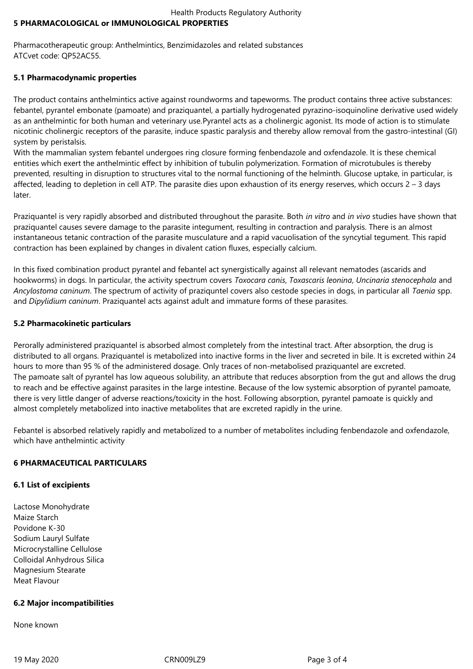## Health Products Regulatory Authority **5 PHARMACOLOGICAL or IMMUNOLOGICAL PROPERTIES**

Pharmacotherapeutic group: Anthelmintics, Benzimidazoles and related substances ATCvet code: QP52AC55.

# **5.1 Pharmacodynamic properties**

The product contains anthelmintics active against roundworms and tapeworms. The product contains three active substances: febantel, pyrantel embonate (pamoate) and praziquantel, a partially hydrogenated pyrazino-isoquinoline derivative used widely as an anthelmintic for both human and veterinary use.Pyrantel acts as a cholinergic agonist. Its mode of action is to stimulate nicotinic cholinergic receptors of the parasite, induce spastic paralysis and thereby allow removal from the gastro-intestinal (GI) system by peristalsis.

With the mammalian system febantel undergoes ring closure forming fenbendazole and oxfendazole. It is these chemical entities which exert the anthelmintic effect by inhibition of tubulin polymerization. Formation of microtubules is thereby prevented, resulting in disruption to structures vital to the normal functioning of the helminth. Glucose uptake, in particular, is affected, leading to depletion in cell ATP. The parasite dies upon exhaustion of its energy reserves, which occurs 2 – 3 days later.

Praziquantel is very rapidly absorbed and distributed throughout the parasite. Both *in vitro* and *in vivo* studies have shown that praziquantel causes severe damage to the parasite integument, resulting in contraction and paralysis. There is an almost instantaneous tetanic contraction of the parasite musculature and a rapid vacuolisation of the syncytial tegument. This rapid contraction has been explained by changes in divalent cation fluxes, especially calcium.

In this fixed combination product pyrantel and febantel act synergistically against all relevant nematodes (ascarids and hookworms) in dogs. In particular, the activity spectrum covers *Toxocara canis*, *Toxascaris leonina*, *Uncinaria stenocephala* and *Ancylostoma caninum*. The spectrum of activity of praziquntel covers also cestode species in dogs, in particular all *Taenia* spp. and *Dipylidium caninum*. Praziquantel acts against adult and immature forms of these parasites.

# **5.2 Pharmacokinetic particulars**

Perorally administered praziquantel is absorbed almost completely from the intestinal tract. After absorption, the drug is distributed to all organs. Praziquantel is metabolized into inactive forms in the liver and secreted in bile. It is excreted within 24 hours to more than 95 % of the administered dosage. Only traces of non-metabolised praziquantel are excreted. The pamoate salt of pyrantel has low aqueous solubility, an attribute that reduces absorption from the gut and allows the drug to reach and be effective against parasites in the large intestine. Because of the low systemic absorption of pyrantel pamoate, there is very little danger of adverse reactions/toxicity in the host. Following absorption, pyrantel pamoate is quickly and almost completely metabolized into inactive metabolites that are excreted rapidly in the urine.

Febantel is absorbed relatively rapidly and metabolized to a number of metabolites including fenbendazole and oxfendazole, which have anthelmintic activity

# **6 PHARMACEUTICAL PARTICULARS**

# **6.1 List of excipients**

Lactose Monohydrate Maize Starch Povidone K-30 Sodium Lauryl Sulfate Microcrystalline Cellulose Colloidal Anhydrous Silica Magnesium Stearate Meat Flavour

# **6.2 Major incompatibilities**

None known